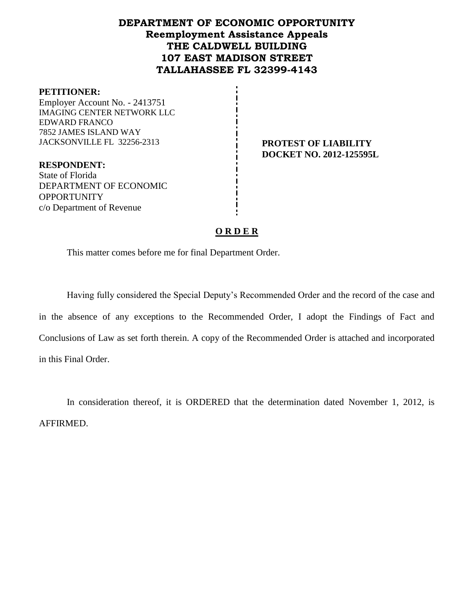# **DEPARTMENT OF ECONOMIC OPPORTUNITY Reemployment Assistance Appeals THE CALDWELL BUILDING 107 EAST MADISON STREET TALLAHASSEE FL 32399-4143**

#### **PETITIONER:**

Employer Account No. - 2413751 IMAGING CENTER NETWORK LLC EDWARD FRANCO 7852 JAMES ISLAND WAY JACKSONVILLE FL 32256-2313 **PROTEST OF LIABILITY**

**DOCKET NO. 2012-125595L**

**RESPONDENT:** State of Florida DEPARTMENT OF ECONOMIC **OPPORTUNITY** c/o Department of Revenue

# **O R D E R**

This matter comes before me for final Department Order.

Having fully considered the Special Deputy's Recommended Order and the record of the case and in the absence of any exceptions to the Recommended Order, I adopt the Findings of Fact and Conclusions of Law as set forth therein. A copy of the Recommended Order is attached and incorporated in this Final Order.

In consideration thereof, it is ORDERED that the determination dated November 1, 2012, is AFFIRMED.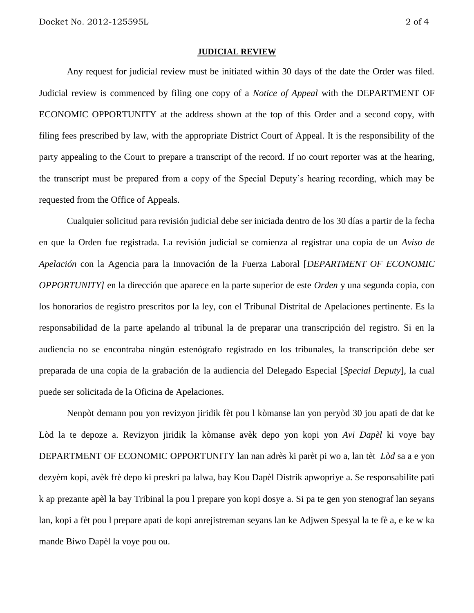#### **JUDICIAL REVIEW**

Any request for judicial review must be initiated within 30 days of the date the Order was filed. Judicial review is commenced by filing one copy of a *Notice of Appeal* with the DEPARTMENT OF ECONOMIC OPPORTUNITY at the address shown at the top of this Order and a second copy, with filing fees prescribed by law, with the appropriate District Court of Appeal. It is the responsibility of the party appealing to the Court to prepare a transcript of the record. If no court reporter was at the hearing, the transcript must be prepared from a copy of the Special Deputy's hearing recording, which may be requested from the Office of Appeals.

Cualquier solicitud para revisión judicial debe ser iniciada dentro de los 30 días a partir de la fecha en que la Orden fue registrada. La revisión judicial se comienza al registrar una copia de un *Aviso de Apelación* con la Agencia para la Innovación de la Fuerza Laboral [*DEPARTMENT OF ECONOMIC OPPORTUNITY]* en la dirección que aparece en la parte superior de este *Orden* y una segunda copia, con los honorarios de registro prescritos por la ley, con el Tribunal Distrital de Apelaciones pertinente. Es la responsabilidad de la parte apelando al tribunal la de preparar una transcripción del registro. Si en la audiencia no se encontraba ningún estenógrafo registrado en los tribunales, la transcripción debe ser preparada de una copia de la grabación de la audiencia del Delegado Especial [*Special Deputy*], la cual puede ser solicitada de la Oficina de Apelaciones.

Nenpòt demann pou yon revizyon jiridik fèt pou l kòmanse lan yon peryòd 30 jou apati de dat ke Lòd la te depoze a. Revizyon jiridik la kòmanse avèk depo yon kopi yon *Avi Dapèl* ki voye bay DEPARTMENT OF ECONOMIC OPPORTUNITY lan nan adrès ki parèt pi wo a, lan tèt *Lòd* sa a e yon dezyèm kopi, avèk frè depo ki preskri pa lalwa, bay Kou Dapèl Distrik apwopriye a. Se responsabilite pati k ap prezante apèl la bay Tribinal la pou l prepare yon kopi dosye a. Si pa te gen yon stenograf lan seyans lan, kopi a fèt pou l prepare apati de kopi anrejistreman seyans lan ke Adjwen Spesyal la te fè a, e ke w ka mande Biwo Dapèl la voye pou ou.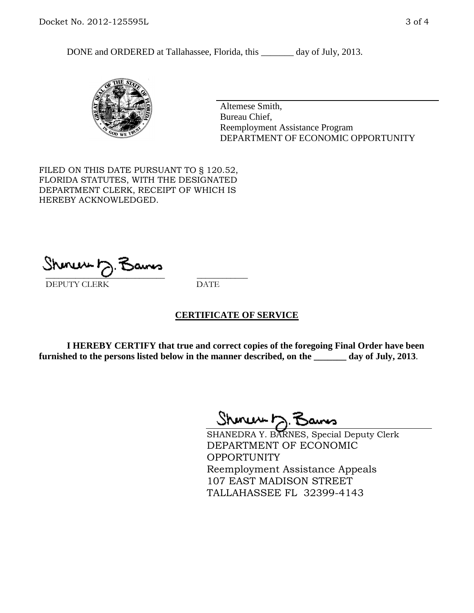DONE and ORDERED at Tallahassee, Florida, this \_\_\_\_\_\_\_ day of July, 2013.



Altemese Smith, Bureau Chief, Reemployment Assistance Program DEPARTMENT OF ECONOMIC OPPORTUNITY

FILED ON THIS DATE PURSUANT TO § 120.52, FLORIDA STATUTES, WITH THE DESIGNATED DEPARTMENT CLERK, RECEIPT OF WHICH IS HEREBY ACKNOWLEDGED.

 $\overline{\phantom{a}}$  ,  $\overline{\phantom{a}}$  ,  $\overline{\phantom{a}}$  ,  $\overline{\phantom{a}}$  ,  $\overline{\phantom{a}}$  ,  $\overline{\phantom{a}}$  ,  $\overline{\phantom{a}}$  ,  $\overline{\phantom{a}}$ DEPUTY CLERK DATE

# **CERTIFICATE OF SERVICE**

**I HEREBY CERTIFY that true and correct copies of the foregoing Final Order have been furnished to the persons listed below in the manner described, on the \_\_\_\_\_\_\_ day of July, 2013**.

 $ShmumD.$ 

SHANEDRA Y. BARNES, Special Deputy Clerk DEPARTMENT OF ECONOMIC **OPPORTUNITY** Reemployment Assistance Appeals 107 EAST MADISON STREET TALLAHASSEE FL 32399-4143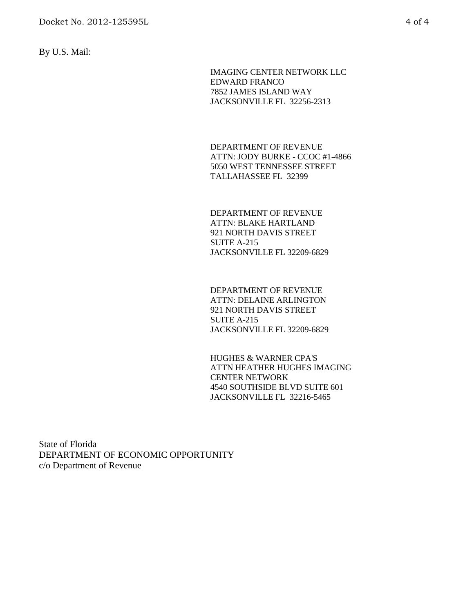By U.S. Mail:

IMAGING CENTER NETWORK LLC EDWARD FRANCO 7852 JAMES ISLAND WAY JACKSONVILLE FL 32256-2313

DEPARTMENT OF REVENUE ATTN: JODY BURKE - CCOC #1-4866 5050 WEST TENNESSEE STREET TALLAHASSEE FL 32399

DEPARTMENT OF REVENUE ATTN: BLAKE HARTLAND 921 NORTH DAVIS STREET SUITE A-215 JACKSONVILLE FL 32209-6829

DEPARTMENT OF REVENUE ATTN: DELAINE ARLINGTON 921 NORTH DAVIS STREET SUITE A-215 JACKSONVILLE FL 32209-6829

HUGHES & WARNER CPA'S ATTN HEATHER HUGHES IMAGING CENTER NETWORK 4540 SOUTHSIDE BLVD SUITE 601 JACKSONVILLE FL 32216-5465

State of Florida DEPARTMENT OF ECONOMIC OPPORTUNITY c/o Department of Revenue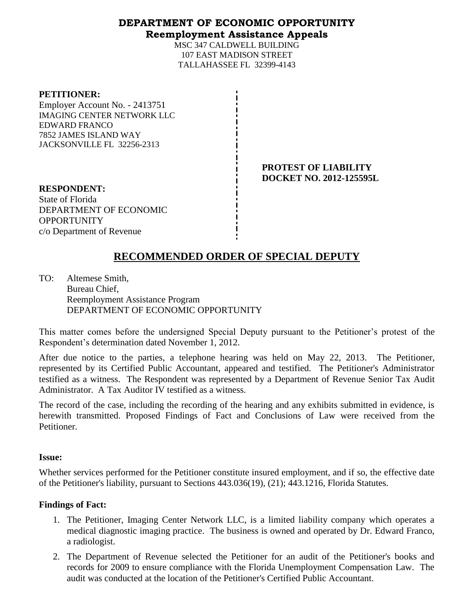# **DEPARTMENT OF ECONOMIC OPPORTUNITY Reemployment Assistance Appeals**

MSC 347 CALDWELL BUILDING 107 EAST MADISON STREET TALLAHASSEE FL 32399-4143

#### **PETITIONER:**

Employer Account No. - 2413751 IMAGING CENTER NETWORK LLC EDWARD FRANCO 7852 JAMES ISLAND WAY JACKSONVILLE FL 32256-2313

> **PROTEST OF LIABILITY DOCKET NO. 2012-125595L**

**RESPONDENT:** State of Florida DEPARTMENT OF ECONOMIC **OPPORTUNITY** c/o Department of Revenue

# **RECOMMENDED ORDER OF SPECIAL DEPUTY**

TO: Altemese Smith, Bureau Chief, Reemployment Assistance Program DEPARTMENT OF ECONOMIC OPPORTUNITY

This matter comes before the undersigned Special Deputy pursuant to the Petitioner's protest of the Respondent's determination dated November 1, 2012.

After due notice to the parties, a telephone hearing was held on May 22, 2013. The Petitioner, represented by its Certified Public Accountant, appeared and testified. The Petitioner's Administrator testified as a witness. The Respondent was represented by a Department of Revenue Senior Tax Audit Administrator. A Tax Auditor IV testified as a witness.

The record of the case, including the recording of the hearing and any exhibits submitted in evidence, is herewith transmitted. Proposed Findings of Fact and Conclusions of Law were received from the Petitioner.

# **Issue:**

Whether services performed for the Petitioner constitute insured employment, and if so, the effective date of the Petitioner's liability, pursuant to Sections 443.036(19), (21); 443.1216, Florida Statutes.

# **Findings of Fact:**

- 1. The Petitioner, Imaging Center Network LLC, is a limited liability company which operates a medical diagnostic imaging practice. The business is owned and operated by Dr. Edward Franco, a radiologist.
- 2. The Department of Revenue selected the Petitioner for an audit of the Petitioner's books and records for 2009 to ensure compliance with the Florida Unemployment Compensation Law. The audit was conducted at the location of the Petitioner's Certified Public Accountant.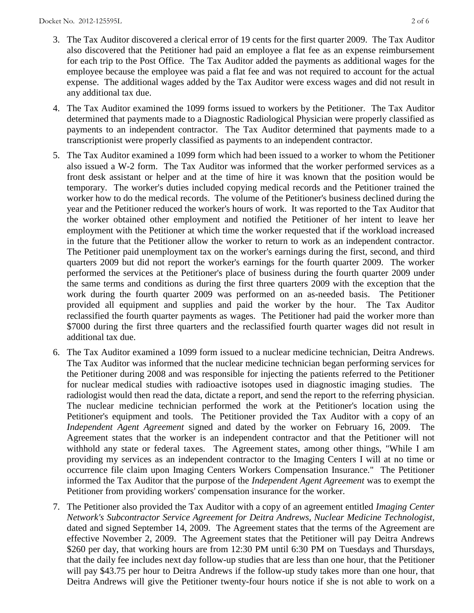- 3. The Tax Auditor discovered a clerical error of 19 cents for the first quarter 2009. The Tax Auditor also discovered that the Petitioner had paid an employee a flat fee as an expense reimbursement for each trip to the Post Office. The Tax Auditor added the payments as additional wages for the employee because the employee was paid a flat fee and was not required to account for the actual expense. The additional wages added by the Tax Auditor were excess wages and did not result in any additional tax due.
- 4. The Tax Auditor examined the 1099 forms issued to workers by the Petitioner. The Tax Auditor determined that payments made to a Diagnostic Radiological Physician were properly classified as payments to an independent contractor. The Tax Auditor determined that payments made to a transcriptionist were properly classified as payments to an independent contractor.
- 5. The Tax Auditor examined a 1099 form which had been issued to a worker to whom the Petitioner also issued a W-2 form. The Tax Auditor was informed that the worker performed services as a front desk assistant or helper and at the time of hire it was known that the position would be temporary. The worker's duties included copying medical records and the Petitioner trained the worker how to do the medical records. The volume of the Petitioner's business declined during the year and the Petitioner reduced the worker's hours of work. It was reported to the Tax Auditor that the worker obtained other employment and notified the Petitioner of her intent to leave her employment with the Petitioner at which time the worker requested that if the workload increased in the future that the Petitioner allow the worker to return to work as an independent contractor. The Petitioner paid unemployment tax on the worker's earnings during the first, second, and third quarters 2009 but did not report the worker's earnings for the fourth quarter 2009. The worker performed the services at the Petitioner's place of business during the fourth quarter 2009 under the same terms and conditions as during the first three quarters 2009 with the exception that the work during the fourth quarter 2009 was performed on an as-needed basis. The Petitioner provided all equipment and supplies and paid the worker by the hour. The Tax Auditor reclassified the fourth quarter payments as wages. The Petitioner had paid the worker more than \$7000 during the first three quarters and the reclassified fourth quarter wages did not result in additional tax due.
- 6. The Tax Auditor examined a 1099 form issued to a nuclear medicine technician, Deitra Andrews. The Tax Auditor was informed that the nuclear medicine technician began performing services for the Petitioner during 2008 and was responsible for injecting the patients referred to the Petitioner for nuclear medical studies with radioactive isotopes used in diagnostic imaging studies. The radiologist would then read the data, dictate a report, and send the report to the referring physician. The nuclear medicine technician performed the work at the Petitioner's location using the Petitioner's equipment and tools. The Petitioner provided the Tax Auditor with a copy of an *Independent Agent Agreement* signed and dated by the worker on February 16, 2009. The Agreement states that the worker is an independent contractor and that the Petitioner will not withhold any state or federal taxes. The Agreement states, among other things, "While I am providing my services as an independent contractor to the Imaging Centers I will at no time or occurrence file claim upon Imaging Centers Workers Compensation Insurance." The Petitioner informed the Tax Auditor that the purpose of the *Independent Agent Agreement* was to exempt the Petitioner from providing workers' compensation insurance for the worker.
- 7. The Petitioner also provided the Tax Auditor with a copy of an agreement entitled *Imaging Center Network's Subcontractor Service Agreement for Deitra Andrews, Nuclear Medicine Technologist*, dated and signed September 14, 2009. The Agreement states that the terms of the Agreement are effective November 2, 2009. The Agreement states that the Petitioner will pay Deitra Andrews \$260 per day, that working hours are from 12:30 PM until 6:30 PM on Tuesdays and Thursdays, that the daily fee includes next day follow-up studies that are less than one hour, that the Petitioner will pay \$43.75 per hour to Deitra Andrews if the follow-up study takes more than one hour, that Deitra Andrews will give the Petitioner twenty-four hours notice if she is not able to work on a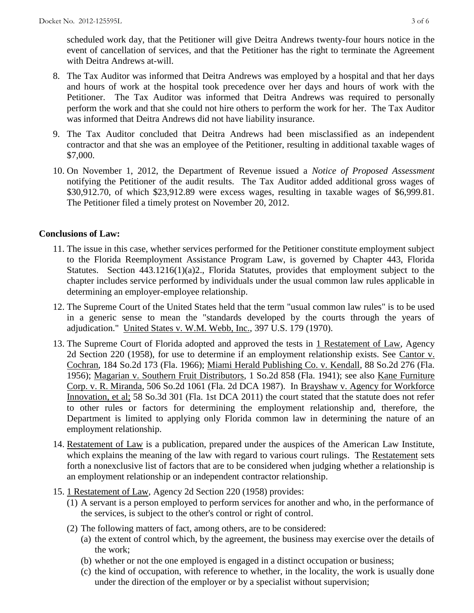scheduled work day, that the Petitioner will give Deitra Andrews twenty-four hours notice in the event of cancellation of services, and that the Petitioner has the right to terminate the Agreement with Deitra Andrews at-will.

- 8. The Tax Auditor was informed that Deitra Andrews was employed by a hospital and that her days and hours of work at the hospital took precedence over her days and hours of work with the Petitioner. The Tax Auditor was informed that Deitra Andrews was required to personally perform the work and that she could not hire others to perform the work for her. The Tax Auditor was informed that Deitra Andrews did not have liability insurance.
- 9. The Tax Auditor concluded that Deitra Andrews had been misclassified as an independent contractor and that she was an employee of the Petitioner, resulting in additional taxable wages of \$7,000.
- 10. On November 1, 2012, the Department of Revenue issued a *Notice of Proposed Assessment*  notifying the Petitioner of the audit results. The Tax Auditor added additional gross wages of \$30,912.70, of which \$23,912.89 were excess wages, resulting in taxable wages of \$6,999.81. The Petitioner filed a timely protest on November 20, 2012.

# **Conclusions of Law:**

- 11. The issue in this case, whether services performed for the Petitioner constitute employment subject to the Florida Reemployment Assistance Program Law, is governed by Chapter 443, Florida Statutes. Section 443.1216(1)(a)2., Florida Statutes, provides that employment subject to the chapter includes service performed by individuals under the usual common law rules applicable in determining an employer-employee relationship.
- 12. The Supreme Court of the United States held that the term "usual common law rules" is to be used in a generic sense to mean the "standards developed by the courts through the years of adjudication." United States v. W.M. Webb, Inc., 397 U.S. 179 (1970).
- 13. The Supreme Court of Florida adopted and approved the tests in 1 Restatement of Law, Agency 2d Section 220 (1958), for use to determine if an employment relationship exists. See Cantor v. Cochran, 184 So.2d 173 (Fla. 1966); Miami Herald Publishing Co. v. Kendall, 88 So.2d 276 (Fla. 1956); Magarian v. Southern Fruit Distributors, 1 So.2d 858 (Fla. 1941); see also Kane Furniture Corp. v. R. Miranda, 506 So.2d 1061 (Fla. 2d DCA 1987). In Brayshaw v. Agency for Workforce Innovation, et al; 58 So.3d 301 (Fla. 1st DCA 2011) the court stated that the statute does not refer to other rules or factors for determining the employment relationship and, therefore, the Department is limited to applying only Florida common law in determining the nature of an employment relationship.
- 14. Restatement of Law is a publication, prepared under the auspices of the American Law Institute, which explains the meaning of the law with regard to various court rulings. The Restatement sets forth a nonexclusive list of factors that are to be considered when judging whether a relationship is an employment relationship or an independent contractor relationship.
- 15. 1 Restatement of Law, Agency 2d Section 220 (1958) provides:
	- (1) A servant is a person employed to perform services for another and who, in the performance of the services, is subject to the other's control or right of control.
	- (2) The following matters of fact, among others, are to be considered:
		- (a) the extent of control which, by the agreement, the business may exercise over the details of the work;
		- (b) whether or not the one employed is engaged in a distinct occupation or business;
		- (c) the kind of occupation, with reference to whether, in the locality, the work is usually done under the direction of the employer or by a specialist without supervision;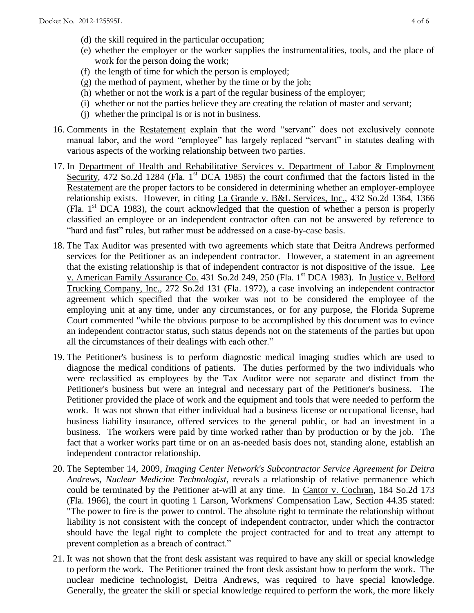- (d) the skill required in the particular occupation;
- (e) whether the employer or the worker supplies the instrumentalities, tools, and the place of work for the person doing the work;
- (f) the length of time for which the person is employed;
- (g) the method of payment, whether by the time or by the job;
- (h) whether or not the work is a part of the regular business of the employer;
- (i) whether or not the parties believe they are creating the relation of master and servant;
- (j) whether the principal is or is not in business.
- 16. Comments in the Restatement explain that the word "servant" does not exclusively connote manual labor, and the word "employee" has largely replaced "servant" in statutes dealing with various aspects of the working relationship between two parties.
- 17. In Department of Health and Rehabilitative Services v. Department of Labor & Employment Security, 472 So.2d 1284 (Fla.  $1<sup>st</sup>$  DCA 1985) the court confirmed that the factors listed in the Restatement are the proper factors to be considered in determining whether an employer-employee relationship exists. However, in citing La Grande v. B&L Services, Inc., 432 So.2d 1364, 1366 (Fla.  $1<sup>st</sup> DCA$  1983), the court acknowledged that the question of whether a person is properly classified an employee or an independent contractor often can not be answered by reference to "hard and fast" rules, but rather must be addressed on a case-by-case basis.
- 18. The Tax Auditor was presented with two agreements which state that Deitra Andrews performed services for the Petitioner as an independent contractor. However, a statement in an agreement that the existing relationship is that of independent contractor is not dispositive of the issue. Lee v. American Family Assurance Co. 431 So.2d 249, 250 (Fla. 1st DCA 1983). In Justice v. Belford Trucking Company, Inc., 272 So.2d 131 (Fla. 1972), a case involving an independent contractor agreement which specified that the worker was not to be considered the employee of the employing unit at any time, under any circumstances, or for any purpose, the Florida Supreme Court commented "while the obvious purpose to be accomplished by this document was to evince an independent contractor status, such status depends not on the statements of the parties but upon all the circumstances of their dealings with each other."
- 19. The Petitioner's business is to perform diagnostic medical imaging studies which are used to diagnose the medical conditions of patients. The duties performed by the two individuals who were reclassified as employees by the Tax Auditor were not separate and distinct from the Petitioner's business but were an integral and necessary part of the Petitioner's business. The Petitioner provided the place of work and the equipment and tools that were needed to perform the work. It was not shown that either individual had a business license or occupational license, had business liability insurance, offered services to the general public, or had an investment in a business. The workers were paid by time worked rather than by production or by the job. The fact that a worker works part time or on an as-needed basis does not, standing alone, establish an independent contractor relationship.
- 20. The September 14, 2009, *Imaging Center Network's Subcontractor Service Agreement for Deitra Andrews, Nuclear Medicine Technologist*, reveals a relationship of relative permanence which could be terminated by the Petitioner at-will at any time. In Cantor v. Cochran, 184 So.2d 173 (Fla. 1966), the court in quoting 1 Larson, Workmens' Compensation Law, Section 44.35 stated: "The power to fire is the power to control. The absolute right to terminate the relationship without liability is not consistent with the concept of independent contractor, under which the contractor should have the legal right to complete the project contracted for and to treat any attempt to prevent completion as a breach of contract."
- 21. It was not shown that the front desk assistant was required to have any skill or special knowledge to perform the work. The Petitioner trained the front desk assistant how to perform the work. The nuclear medicine technologist, Deitra Andrews, was required to have special knowledge. Generally, the greater the skill or special knowledge required to perform the work, the more likely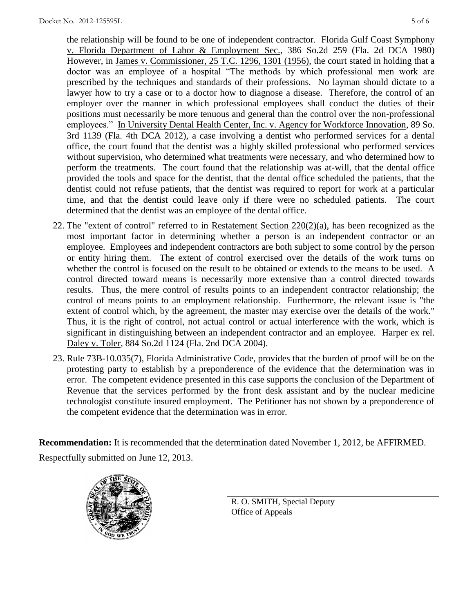the relationship will be found to be one of independent contractor. Florida Gulf Coast Symphony v. Florida Department of Labor & Employment Sec., 386 So.2d 259 (Fla. 2d DCA 1980) However, in James v. Commissioner, 25 T.C. 1296, 1301 (1956), the court stated in holding that a doctor was an employee of a hospital "The methods by which professional men work are prescribed by the techniques and standards of their professions. No layman should dictate to a lawyer how to try a case or to a doctor how to diagnose a disease. Therefore, the control of an employer over the manner in which professional employees shall conduct the duties of their positions must necessarily be more tenuous and general than the control over the non-professional employees." In University Dental Health Center, Inc. v. Agency for Workforce Innovation, 89 So. 3rd 1139 (Fla. 4th DCA 2012), a case involving a dentist who performed services for a dental office, the court found that the dentist was a highly skilled professional who performed services without supervision, who determined what treatments were necessary, and who determined how to perform the treatments. The court found that the relationship was at-will, that the dental office provided the tools and space for the dentist, that the dental office scheduled the patients, that the dentist could not refuse patients, that the dentist was required to report for work at a particular time, and that the dentist could leave only if there were no scheduled patients. The court determined that the dentist was an employee of the dental office.

- 22. The "extent of control" referred to in Restatement Section  $220(2)(a)$ , has been recognized as the most important factor in determining whether a person is an independent contractor or an employee. Employees and independent contractors are both subject to some control by the person or entity hiring them. The extent of control exercised over the details of the work turns on whether the control is focused on the result to be obtained or extends to the means to be used. A control directed toward means is necessarily more extensive than a control directed towards results. Thus, the mere control of results points to an independent contractor relationship; the control of means points to an employment relationship. Furthermore, the relevant issue is "the extent of control which, by the agreement, the master may exercise over the details of the work." Thus, it is the right of control, not actual control or actual interference with the work, which is significant in distinguishing between an independent contractor and an employee. Harper ex rel. Daley v. Toler, 884 So.2d 1124 (Fla. 2nd DCA 2004).
- 23. Rule 73B-10.035(7), Florida Administrative Code, provides that the burden of proof will be on the protesting party to establish by a preponderence of the evidence that the determination was in error. The competent evidence presented in this case supports the conclusion of the Department of Revenue that the services performed by the front desk assistant and by the nuclear medicine technologist constitute insured employment. The Petitioner has not shown by a preponderence of the competent evidence that the determination was in error.

**Recommendation:** It is recommended that the determination dated November 1, 2012, be AFFIRMED. Respectfully submitted on June 12, 2013.



R. O. SMITH, Special Deputy Office of Appeals